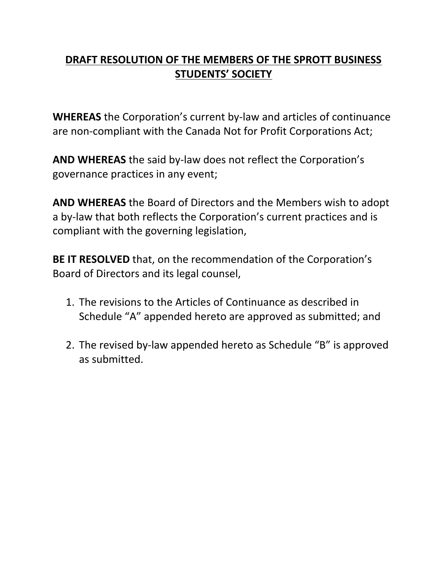## **DRAFT RESOLUTION OF THE MEMBERS OF THE SPROTT BUSINESS STUDENTS' SOCIETY**

**WHEREAS** the Corporation's current by-law and articles of continuance are non-compliant with the Canada Not for Profit Corporations Act;

**AND WHEREAS** the said by-law does not reflect the Corporation's governance practices in any event;

**AND WHEREAS** the Board of Directors and the Members wish to adopt a by-law that both reflects the Corporation's current practices and is compliant with the governing legislation,

**BE IT RESOLVED** that, on the recommendation of the Corporation's Board of Directors and its legal counsel,

- 1. The revisions to the Articles of Continuance as described in Schedule "A" appended hereto are approved as submitted; and
- 2. The revised by-law appended hereto as Schedule "B" is approved as submitted.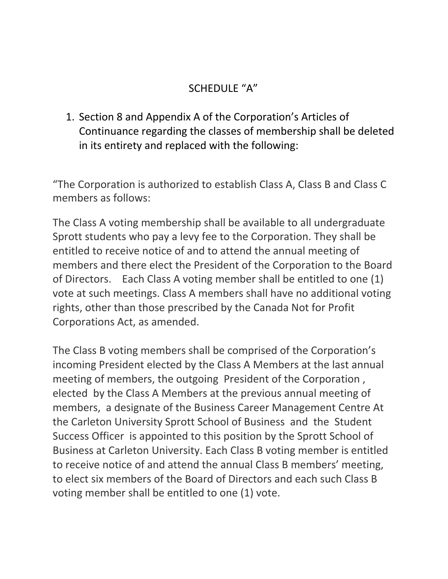## SCHEDULE "A"

1. Section 8 and Appendix A of the Corporation's Articles of Continuance regarding the classes of membership shall be deleted in its entirety and replaced with the following:

"The Corporation is authorized to establish Class A, Class B and Class C members as follows:

The Class A voting membership shall be available to all undergraduate Sprott students who pay a levy fee to the Corporation. They shall be entitled to receive notice of and to attend the annual meeting of members and there elect the President of the Corporation to the Board of Directors. Each Class A voting member shall be entitled to one (1) vote at such meetings. Class A members shall have no additional voting rights, other than those prescribed by the Canada Not for Profit Corporations Act, as amended.

The Class B voting members shall be comprised of the Corporation's incoming President elected by the Class A Members at the last annual meeting of members, the outgoing President of the Corporation , elected by the Class A Members at the previous annual meeting of members, a designate of the Business Career Management Centre At the Carleton University Sprott School of Business and the Student Success Officer is appointed to this position by the Sprott School of Business at Carleton University. Each Class B voting member is entitled to receive notice of and attend the annual Class B members' meeting, to elect six members of the Board of Directors and each such Class B voting member shall be entitled to one (1) vote.